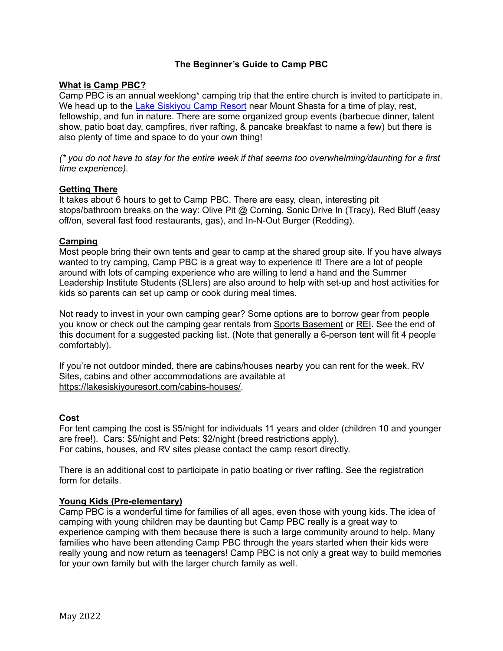## **The Beginner's Guide to Camp PBC**

### **What is Camp PBC?**

Camp PBC is an annual weeklong\* camping trip that the entire church is invited to participate in. We head up to the Lake [Siskiyou](https://goo.gl/maps/GdXTT6W6QwQJjRm77) Camp Resort near Mount Shasta for a time of play, rest, fellowship, and fun in nature. There are some organized group events (barbecue dinner, talent show, patio boat day, campfires, river rafting, & pancake breakfast to name a few) but there is also plenty of time and space to do your own thing!

(\* you do not have to stay for the entire week if that seems too overwhelming/daunting for a first *time experience).*

### **Getting There**

It takes about 6 hours to get to Camp PBC. There are easy, clean, interesting pit stops/bathroom breaks on the way: Olive Pit @ Corning, Sonic Drive In (Tracy), Red Bluff (easy off/on, several fast food restaurants, gas), and In-N-Out Burger (Redding).

### **Camping**

Most people bring their own tents and gear to camp at the shared group site. If you have always wanted to try camping, Camp PBC is a great way to experience it! There are a lot of people around with lots of camping experience who are willing to lend a hand and the Summer Leadership Institute Students (SLIers) are also around to help with set-up and host activities for kids so parents can set up camp or cook during meal times.

Not ready to invest in your own camping gear? Some options are to borrow gear from people you know or check out the camping gear rentals from Sports [Basement](https://shop.sportsbasement.com/pages/camping-rental-rates) or [REI](https://www.rei.com/stores/rentals/pricing). See the end of this document for a suggested packing list. (Note that generally a 6-person tent will fit 4 people comfortably).

If you're not outdoor minded, there are cabins/houses nearby you can rent for the week. RV Sites, cabins and other accommodations are available at <https://lakesiskiyouresort.com/cabins-houses/>.

### **Cost**

For tent camping the cost is \$5/night for individuals 11 years and older (children 10 and younger are free!). Cars: \$5/night and Pets: \$2/night (breed restrictions apply). For cabins, houses, and RV sites please contact the camp resort directly.

There is an additional cost to participate in patio boating or river rafting. See the registration form for details.

### **Young Kids (Pre-elementary)**

Camp PBC is a wonderful time for families of all ages, even those with young kids. The idea of camping with young children may be daunting but Camp PBC really is a great way to experience camping with them because there is such a large community around to help. Many families who have been attending Camp PBC through the years started when their kids were really young and now return as teenagers! Camp PBC is not only a great way to build memories for your own family but with the larger church family as well.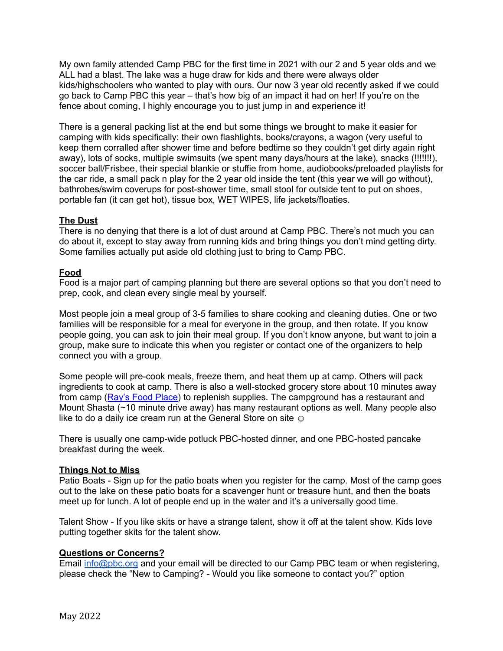My own family attended Camp PBC for the first time in 2021 with our 2 and 5 year olds and we ALL had a blast. The lake was a huge draw for kids and there were always older kids/highschoolers who wanted to play with ours. Our now 3 year old recently asked if we could go back to Camp PBC this year – that's how big of an impact it had on her! If you're on the fence about coming. I highly encourage you to just jump in and experience it!

There is a general packing list at the end but some things we brought to make it easier for camping with kids specifically: their own flashlights, books/crayons, a wagon (very useful to keep them corralled after shower time and before bedtime so they couldn't get dirty again right away), lots of socks, multiple swimsuits (we spent many days/hours at the lake), snacks (!!!!!!!), soccer ball/Frisbee, their special blankie or stuffie from home, audiobooks/preloaded playlists for the car ride, a small pack n play for the 2 year old inside the tent (this year we will go without), bathrobes/swim coverups for post-shower time, small stool for outside tent to put on shoes, portable fan (it can get hot), tissue box, WET WIPES, life jackets/floaties.

# **The Dust**

There is no denying that there is a lot of dust around at Camp PBC. There's not much you can do about it, except to stay away from running kids and bring things you don't mind getting dirty. Some families actually put aside old clothing just to bring to Camp PBC.

## **Food**

Food is a major part of camping planning but there are several options so that you don't need to prep, cook, and clean every single meal by yourself.

Most people join a meal group of 3-5 families to share cooking and cleaning duties. One or two families will be responsible for a meal for everyone in the group, and then rotate. If you know people going, you can ask to join their meal group. If you don't know anyone, but want to join a group, make sure to indicate this when you register or contact one of the organizers to help connect you with a group.

Some people will pre-cook meals, freeze them, and heat them up at camp. Others will pack ingredients to cook at camp. There is also a well-stocked grocery store about 10 minutes away from camp (Ray's Food [Place\)](https://goo.gl/maps/MqciX3NB58kWUwaE9) to replenish supplies. The campground has a restaurant and Mount Shasta (~10 minute drive away) has many restaurant options as well. Many people also like to do a daily ice cream run at the General Store on site  $\odot$ 

There is usually one camp-wide potluck PBC-hosted dinner, and one PBC-hosted pancake breakfast during the week.

## **Things Not to Miss**

Patio Boats - Sign up for the patio boats when you register for the camp. Most of the camp goes out to the lake on these patio boats for a scavenger hunt or treasure hunt, and then the boats meet up for lunch. A lot of people end up in the water and it's a universally good time.

Talent Show - If you like skits or have a strange talent, show it off at the talent show. Kids love putting together skits for the talent show.

## **Questions or Concerns?**

Email [info@pbc.org](mailto:info@pbc.org) and your email will be directed to our Camp PBC team or when registering, please check the "New to Camping? - Would you like someone to contact you?" option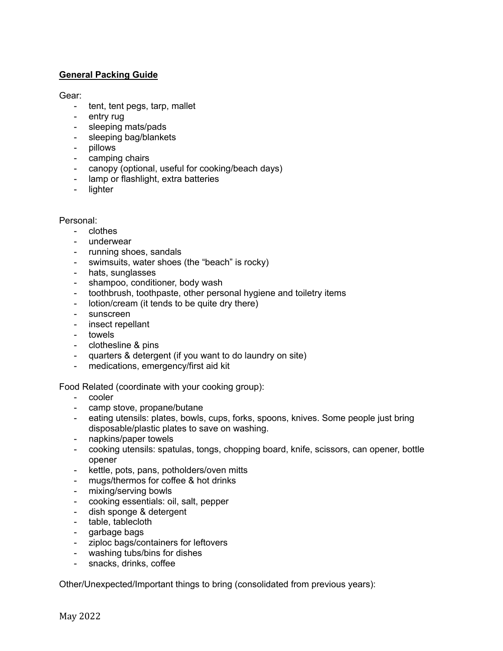# **General Packing Guide**

### Gear:

- tent, tent pegs, tarp, mallet
- entry rug
- sleeping mats/pads
- sleeping bag/blankets
- pillows
- camping chairs
- canopy (optional, useful for cooking/beach days)
- lamp or flashlight, extra batteries
- lighter

### Personal:

- clothes
- underwear
- running shoes, sandals
- swimsuits, water shoes (the "beach" is rocky)
- hats, sunglasses
- shampoo, conditioner, body wash
- toothbrush, toothpaste, other personal hygiene and toiletry items
- lotion/cream (it tends to be quite dry there)
- sunscreen
- insect repellant
- towels
- clothesline & pins
- quarters & detergent (if you want to do laundry on site)
- medications, emergency/first aid kit

Food Related (coordinate with your cooking group):

- cooler
- camp stove, propane/butane
- eating utensils: plates, bowls, cups, forks, spoons, knives. Some people just bring disposable/plastic plates to save on washing.
- napkins/paper towels
- cooking utensils: spatulas, tongs, chopping board, knife, scissors, can opener, bottle opener
- kettle, pots, pans, potholders/oven mitts
- mugs/thermos for coffee & hot drinks
- mixing/serving bowls
- cooking essentials: oil, salt, pepper
- dish sponge & detergent
- table, tablecloth
- garbage bags
- ziploc bags/containers for leftovers
- washing tubs/bins for dishes
- snacks, drinks, coffee

Other/Unexpected/Important things to bring (consolidated from previous years):